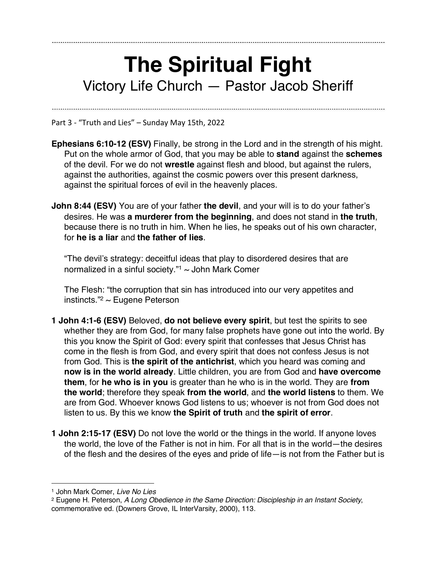## **The Spiritual Fight** Victory Life Church — Pastor Jacob Sheriff

Part 3 - "Truth and Lies" – Sunday May 15th, 2022

- **Ephesians 6:10-12 (ESV)** Finally, be strong in the Lord and in the strength of his might. Put on the whole armor of God, that you may be able to **stand** against the **schemes** of the devil. For we do not **wrestle** against flesh and blood, but against the rulers, against the authorities, against the cosmic powers over this present darkness, against the spiritual forces of evil in the heavenly places.
- **John 8:44 (ESV)** You are of your father the devil, and your will is to do your father's desires. He was **a murderer from the beginning**, and does not stand in **the truth**, because there is no truth in him. When he lies, he speaks out of his own character, for **he is a liar** and **the father of lies**.

"The devil's strategy: deceitful ideas that play to disordered desires that are normalized in a sinful society." $1$  ~ John Mark Comer

The Flesh: "the corruption that sin has introduced into our very appetites and instincts." $2$  ~ Eugene Peterson

- **1 John 4:1-6 (ESV)** Beloved, **do not believe every spirit**, but test the spirits to see whether they are from God, for many false prophets have gone out into the world. By this you know the Spirit of God: every spirit that confesses that Jesus Christ has come in the flesh is from God, and every spirit that does not confess Jesus is not from God. This is **the spirit of the antichrist**, which you heard was coming and **now is in the world already**. Little children, you are from God and **have overcome them**, for **he who is in you** is greater than he who is in the world. They are **from the world**; therefore they speak **from the world**, and **the world listens** to them. We are from God. Whoever knows God listens to us; whoever is not from God does not listen to us. By this we know **the Spirit of truth** and **the spirit of error**.
- **1 John 2:15-17 (ESV)** Do not love the world or the things in the world. If anyone loves the world, the love of the Father is not in him. For all that is in the world—the desires of the flesh and the desires of the eyes and pride of life—is not from the Father but is

<sup>1</sup> John Mark Comer, *Live No Lies*

<sup>2</sup> Eugene H. Peterson, *A Long Obedience in the Same Direction: Discipleship in an Instant Society*, commemorative ed. (Downers Grove, IL InterVarsity, 2000), 113.